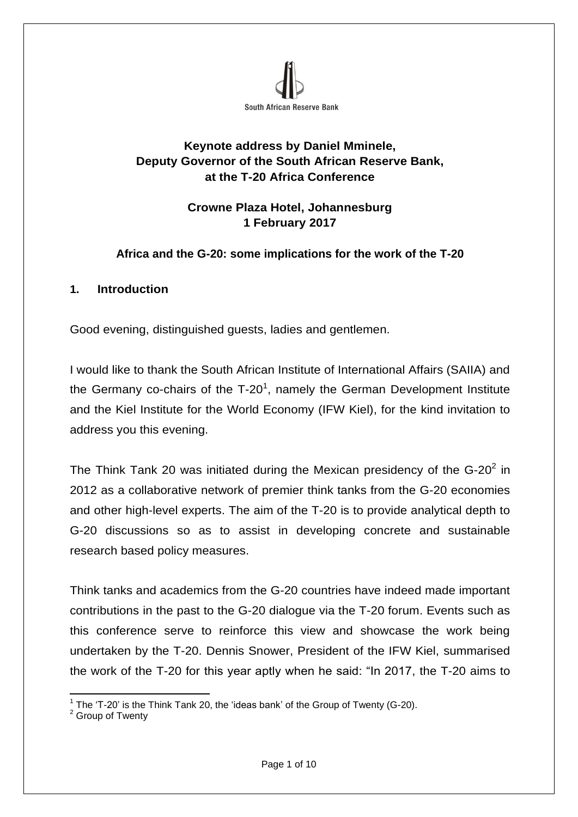

# **Keynote address by Daniel Mminele, Deputy Governor of the South African Reserve Bank, at the T-20 Africa Conference**

## **Crowne Plaza Hotel, Johannesburg 1 February 2017**

### **Africa and the G-20: some implications for the work of the T-20**

#### **1. Introduction**

Good evening, distinguished guests, ladies and gentlemen.

I would like to thank the South African Institute of International Affairs (SAIIA) and the Germany co-chairs of the  $T-20<sup>1</sup>$ , namely the German Development Institute and the Kiel Institute for the World Economy (IFW Kiel), for the kind invitation to address you this evening.

The Think Tank 20 was initiated during the Mexican presidency of the G-20 $^2$  in 2012 as a collaborative network of premier think tanks from the G-20 economies and other high-level experts. The aim of the T-20 is to provide analytical depth to G-20 discussions so as to assist in developing concrete and sustainable research based policy measures.

Think tanks and academics from the G-20 countries have indeed made important contributions in the past to the G-20 dialogue via the T-20 forum. Events such as this conference serve to reinforce this view and showcase the work being undertaken by the T-20. Dennis Snower, President of the IFW Kiel, summarised the work of the T-20 for this year aptly when he said: "In 2017, the T-20 aims to

 $\overline{a}$ <sup>1</sup> The 'T-20' is the Think Tank 20, the 'ideas bank' of the Group of Twenty (G-20).

<sup>&</sup>lt;sup>2</sup> Group of Twenty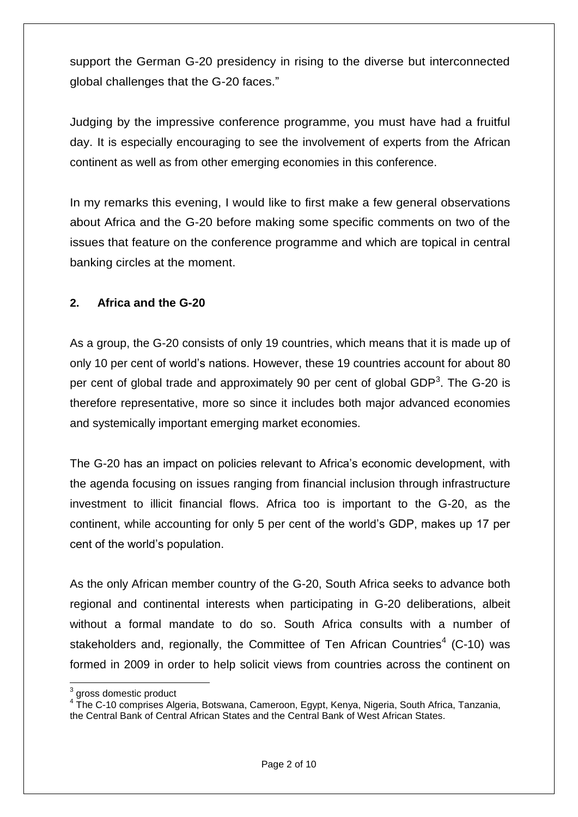support the German G-20 presidency in rising to the diverse but interconnected global challenges that the G-20 faces."

Judging by the impressive conference programme, you must have had a fruitful day. It is especially encouraging to see the involvement of experts from the African continent as well as from other emerging economies in this conference.

In my remarks this evening, I would like to first make a few general observations about Africa and the G-20 before making some specific comments on two of the issues that feature on the conference programme and which are topical in central banking circles at the moment.

## **2. Africa and the G-20**

As a group, the G-20 consists of only 19 countries, which means that it is made up of only 10 per cent of world's nations. However, these 19 countries account for about 80 per cent of global trade and approximately 90 per cent of global GDP<sup>3</sup>. The G-20 is therefore representative, more so since it includes both major advanced economies and systemically important emerging market economies.

The G-20 has an impact on policies relevant to Africa's economic development, with the agenda focusing on issues ranging from financial inclusion through infrastructure investment to illicit financial flows. Africa too is important to the G-20, as the continent, while accounting for only 5 per cent of the world's GDP, makes up 17 per cent of the world's population.

As the only African member country of the G-20, South Africa seeks to advance both regional and continental interests when participating in G-20 deliberations, albeit without a formal mandate to do so. South Africa consults with a number of stakeholders and, regionally, the Committee of Ten African Countries<sup>4</sup> (C-10) was formed in 2009 in order to help solicit views from countries across the continent on

**<sup>.</sup>**  $3$  gross domestic product

<sup>&</sup>lt;sup>4</sup> The C-10 comprises Algeria, Botswana, Cameroon, Egypt, Kenya, Nigeria, South Africa, Tanzania, the Central Bank of Central African States and the Central Bank of West African States.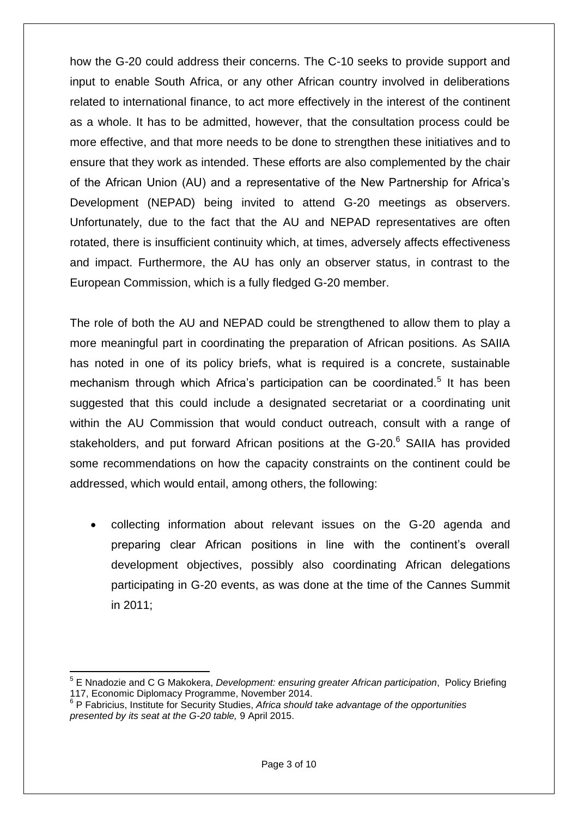how the G-20 could address their concerns. The C-10 seeks to provide support and input to enable South Africa, or any other African country involved in deliberations related to international finance, to act more effectively in the interest of the continent as a whole. It has to be admitted, however, that the consultation process could be more effective, and that more needs to be done to strengthen these initiatives and to ensure that they work as intended. These efforts are also complemented by the chair of the African Union (AU) and a representative of the New Partnership for Africa's Development (NEPAD) being invited to attend G-20 meetings as observers. Unfortunately, due to the fact that the AU and NEPAD representatives are often rotated, there is insufficient continuity which, at times, adversely affects effectiveness and impact. Furthermore, the AU has only an observer status, in contrast to the European Commission, which is a fully fledged G-20 member.

The role of both the AU and NEPAD could be strengthened to allow them to play a more meaningful part in coordinating the preparation of African positions. As SAIIA has noted in one of its policy briefs, what is required is a concrete, sustainable mechanism through which Africa's participation can be coordinated.<sup>5</sup> It has been suggested that this could include a designated secretariat or a coordinating unit within the AU Commission that would conduct outreach, consult with a range of stakeholders, and put forward African positions at the G-20.<sup>6</sup> SAIIA has provided some recommendations on how the capacity constraints on the continent could be addressed, which would entail, among others, the following:

 collecting information about relevant issues on the G-20 agenda and preparing clear African positions in line with the continent's overall development objectives, possibly also coordinating African delegations participating in G-20 events, as was done at the time of the Cannes Summit in 2011;

**.** 

<sup>5</sup> E Nnadozie and C G Makokera, *Development: ensuring greater African participation*, Policy Briefing 117, Economic Diplomacy Programme, November 2014.

<sup>6</sup> P Fabricius, Institute for Security Studies, *Africa should take advantage of the opportunities presented by its seat at the G-20 table,* 9 April 2015.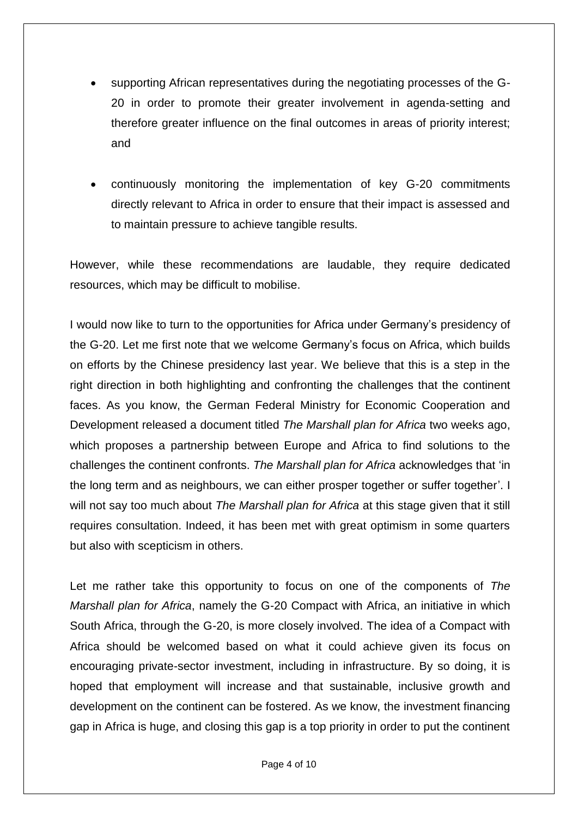- supporting African representatives during the negotiating processes of the G-20 in order to promote their greater involvement in agenda-setting and therefore greater influence on the final outcomes in areas of priority interest; and
- continuously monitoring the implementation of key G-20 commitments directly relevant to Africa in order to ensure that their impact is assessed and to maintain pressure to achieve tangible results.

However, while these recommendations are laudable, they require dedicated resources, which may be difficult to mobilise.

I would now like to turn to the opportunities for Africa under Germany's presidency of the G-20. Let me first note that we welcome Germany's focus on Africa, which builds on efforts by the Chinese presidency last year. We believe that this is a step in the right direction in both highlighting and confronting the challenges that the continent faces. As you know, the German Federal Ministry for Economic Cooperation and Development released a document titled *The Marshall plan for Africa* two weeks ago, which proposes a partnership between Europe and Africa to find solutions to the challenges the continent confronts. *The Marshall plan for Africa* acknowledges that 'in the long term and as neighbours, we can either prosper together or suffer together'. I will not say too much about *The Marshall plan for Africa* at this stage given that it still requires consultation. Indeed, it has been met with great optimism in some quarters but also with scepticism in others.

Let me rather take this opportunity to focus on one of the components of *The Marshall plan for Africa*, namely the G-20 Compact with Africa, an initiative in which South Africa, through the G-20, is more closely involved. The idea of a Compact with Africa should be welcomed based on what it could achieve given its focus on encouraging private-sector investment, including in infrastructure. By so doing, it is hoped that employment will increase and that sustainable, inclusive growth and development on the continent can be fostered. As we know, the investment financing gap in Africa is huge, and closing this gap is a top priority in order to put the continent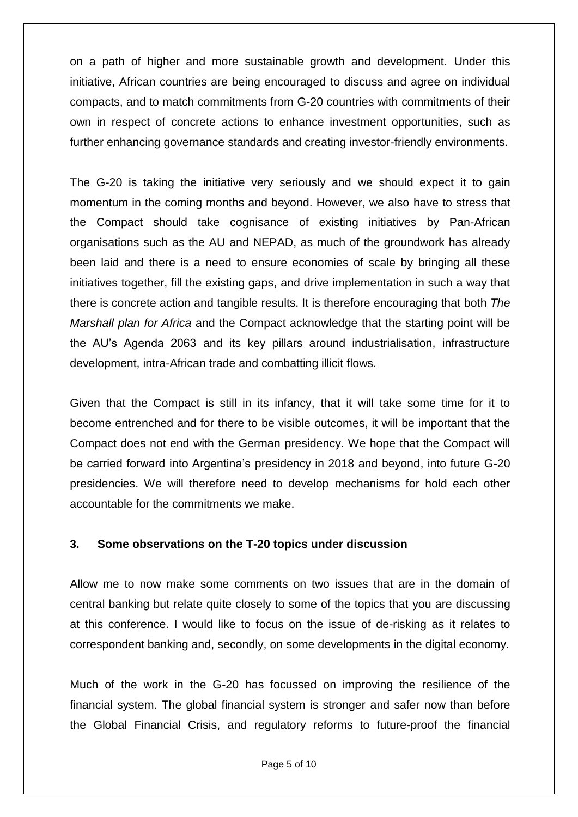on a path of higher and more sustainable growth and development. Under this initiative, African countries are being encouraged to discuss and agree on individual compacts, and to match commitments from G-20 countries with commitments of their own in respect of concrete actions to enhance investment opportunities, such as further enhancing governance standards and creating investor-friendly environments.

The G-20 is taking the initiative very seriously and we should expect it to gain momentum in the coming months and beyond. However, we also have to stress that the Compact should take cognisance of existing initiatives by Pan-African organisations such as the AU and NEPAD, as much of the groundwork has already been laid and there is a need to ensure economies of scale by bringing all these initiatives together, fill the existing gaps, and drive implementation in such a way that there is concrete action and tangible results. It is therefore encouraging that both *The Marshall plan for Africa* and the Compact acknowledge that the starting point will be the AU's Agenda 2063 and its key pillars around industrialisation, infrastructure development, intra-African trade and combatting illicit flows.

Given that the Compact is still in its infancy, that it will take some time for it to become entrenched and for there to be visible outcomes, it will be important that the Compact does not end with the German presidency. We hope that the Compact will be carried forward into Argentina's presidency in 2018 and beyond, into future G-20 presidencies. We will therefore need to develop mechanisms for hold each other accountable for the commitments we make.

#### **3. Some observations on the T-20 topics under discussion**

Allow me to now make some comments on two issues that are in the domain of central banking but relate quite closely to some of the topics that you are discussing at this conference. I would like to focus on the issue of de-risking as it relates to correspondent banking and, secondly, on some developments in the digital economy.

Much of the work in the G-20 has focussed on improving the resilience of the financial system. The global financial system is stronger and safer now than before the Global Financial Crisis, and regulatory reforms to future-proof the financial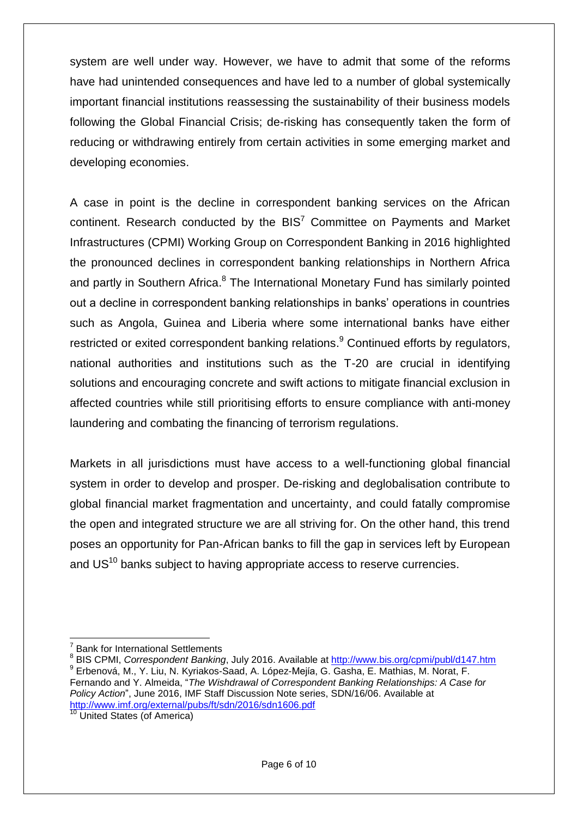system are well under way. However, we have to admit that some of the reforms have had unintended consequences and have led to a number of global systemically important financial institutions reassessing the sustainability of their business models following the Global Financial Crisis; de-risking has consequently taken the form of reducing or withdrawing entirely from certain activities in some emerging market and developing economies.

A case in point is the decline in correspondent banking services on the African continent. Research conducted by the  $BIS<sup>7</sup>$  Committee on Payments and Market Infrastructures (CPMI) Working Group on Correspondent Banking in 2016 highlighted the pronounced declines in correspondent banking relationships in Northern Africa and partly in Southern Africa.<sup>8</sup> The International Monetary Fund has similarly pointed out a decline in correspondent banking relationships in banks' operations in countries such as Angola, Guinea and Liberia where some international banks have either restricted or exited correspondent banking relations.<sup>9</sup> Continued efforts by regulators, national authorities and institutions such as the T-20 are crucial in identifying solutions and encouraging concrete and swift actions to mitigate financial exclusion in affected countries while still prioritising efforts to ensure compliance with anti-money laundering and combating the financing of terrorism regulations.

Markets in all jurisdictions must have access to a well-functioning global financial system in order to develop and prosper. De-risking and deglobalisation contribute to global financial market fragmentation and uncertainty, and could fatally compromise the open and integrated structure we are all striving for. On the other hand, this trend poses an opportunity for Pan-African banks to fill the gap in services left by European and US<sup>10</sup> banks subject to having appropriate access to reserve currencies.

**<sup>.</sup>** 7 Bank for International Settlements

<sup>8</sup> BIS CPMI, *Correspondent Banking*, July 2016. Available at <http://www.bis.org/cpmi/publ/d147.htm> 9 Erbenová, M., Y. Liu, N. Kyriakos-Saad, A. López-Mejίa, G. Gasha, E. Mathias, M. Norat, F. Fernando and Y. Almeida, "*The Wishdrawal of Correspondent Banking Relationships: A Case for Policy Action*", June 2016, IMF Staff Discussion Note series, SDN/16/06. Available at <http://www.imf.org/external/pubs/ft/sdn/2016/sdn1606.pdf>

<sup>&</sup>lt;sup>10</sup> United States (of America)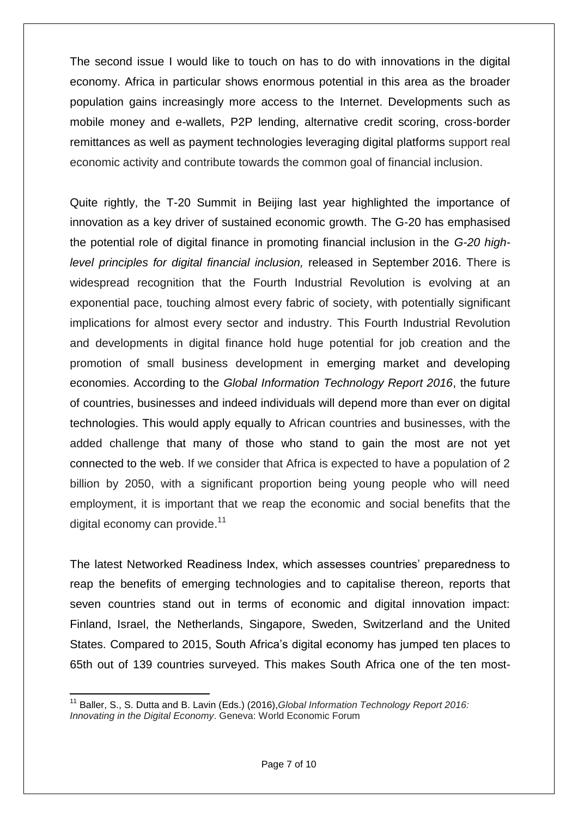The second issue I would like to touch on has to do with innovations in the digital economy. Africa in particular shows enormous potential in this area as the broader population gains increasingly more access to the Internet. Developments such as mobile money and e-wallets, P2P lending, alternative credit scoring, cross-border remittances as well as payment technologies leveraging digital platforms support real economic activity and contribute towards the common goal of financial inclusion.

Quite rightly, the T-20 Summit in Beijing last year highlighted the importance of innovation as a key driver of sustained economic growth. The G-20 has emphasised the potential role of digital finance in promoting financial inclusion in the *G-20 highlevel principles for digital financial inclusion,* released in September 2016. There is widespread recognition that the Fourth Industrial Revolution is evolving at an exponential pace, touching almost every fabric of society, with potentially significant implications for almost every sector and industry. This Fourth Industrial Revolution and developments in digital finance hold huge potential for job creation and the promotion of small business development in emerging market and developing economies. According to the *Global Information Technology Report 2016*, the future of countries, businesses and indeed individuals will depend more than ever on digital technologies. This would apply equally to African countries and businesses, with the added challenge that many of those who stand to gain the most are not yet connected to the web. If we consider that Africa is expected to have a population of 2 billion by 2050, with a significant proportion being young people who will need employment, it is important that we reap the economic and social benefits that the digital economy can provide.<sup>11</sup>

The latest Networked Readiness Index, which assesses countries' preparedness to reap the benefits of emerging technologies and to capitalise thereon, reports that seven countries stand out in terms of economic and digital innovation impact: Finland, Israel, the Netherlands, Singapore, Sweden, Switzerland and the United States. Compared to 2015, South Africa's digital economy has jumped ten places to 65th out of 139 countries surveyed. This makes South Africa one of the ten most-

 $\overline{a}$ 

<sup>11</sup> Baller, S., S. Dutta and B. Lavin (Eds.) (2016),*Global Information Technology Report 2016: Innovating in the Digital Economy*. Geneva: World Economic Forum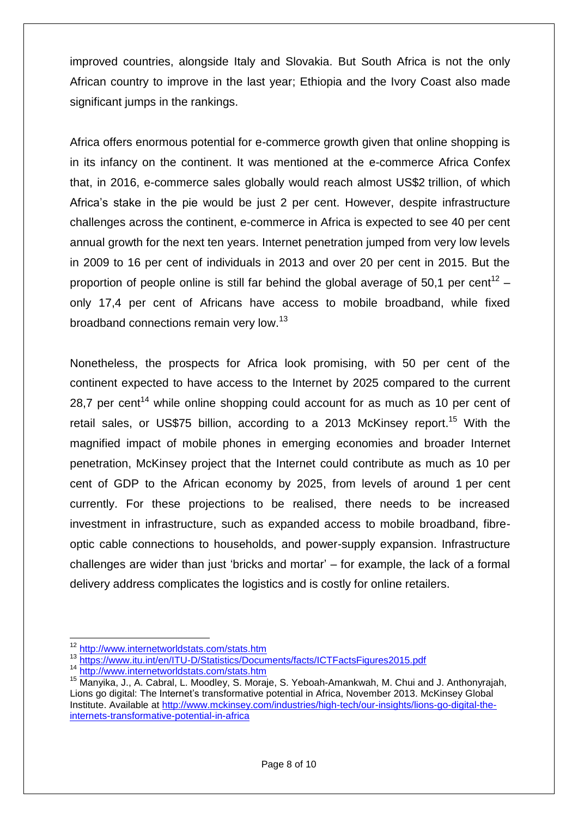improved countries, alongside Italy and Slovakia. But South Africa is not the only African country to improve in the last year; Ethiopia and the Ivory Coast also made significant jumps in the rankings.

Africa offers enormous potential for e-commerce growth given that online shopping is in its infancy on the continent. It was mentioned at the e-commerce Africa Confex that, in 2016, e-commerce sales globally would reach almost US\$2 trillion, of which Africa's stake in the pie would be just 2 per cent. However, despite infrastructure challenges across the continent, e-commerce in Africa is expected to see 40 per cent annual growth for the next ten years. Internet penetration jumped from very low levels in 2009 to 16 per cent of individuals in 2013 and over 20 per cent in 2015. But the proportion of people online is still far behind the global average of 50,1 per cent<sup>12</sup> – only 17,4 per cent of Africans have access to mobile broadband, while fixed broadband connections remain very low.<sup>13</sup>

Nonetheless, the prospects for Africa look promising, with 50 per cent of the continent expected to have access to the Internet by 2025 compared to the current 28.7 per cent<sup>14</sup> while online shopping could account for as much as 10 per cent of retail sales, or US\$75 billion, according to a 2013 McKinsey report.<sup>15</sup> With the magnified impact of mobile phones in emerging economies and broader Internet penetration, McKinsey project that the Internet could contribute as much as 10 per cent of GDP to the African economy by 2025, from levels of around 1 per cent currently. For these projections to be realised, there needs to be increased investment in infrastructure, such as expanded access to mobile broadband, fibreoptic cable connections to households, and power-supply expansion. Infrastructure challenges are wider than just 'bricks and mortar' – for example, the lack of a formal delivery address complicates the logistics and is costly for online retailers.

**.** 

<sup>&</sup>lt;sup>12</sup> <http://www.internetworldstats.com/stats.htm>

<sup>13</sup> <https://www.itu.int/en/ITU-D/Statistics/Documents/facts/ICTFactsFigures2015.pdf>

<sup>14</sup> <http://www.internetworldstats.com/stats.htm>

<sup>&</sup>lt;sup>15</sup> Manyika, J., A. Cabral, L. Moodley, S. Moraje, S. Yeboah-Amankwah, M. Chui and J. Anthonyrajah, Lions go digital: The Internet's transformative potential in Africa, November 2013. McKinsey Global Institute. Available at [http://www.mckinsey.com/industries/high-tech/our-insights/lions-go-digital-the](http://www.mckinsey.com/industries/high-tech/our-insights/lions-go-digital-the-internets-transformative-potential-in-africa)[internets-transformative-potential-in-africa](http://www.mckinsey.com/industries/high-tech/our-insights/lions-go-digital-the-internets-transformative-potential-in-africa)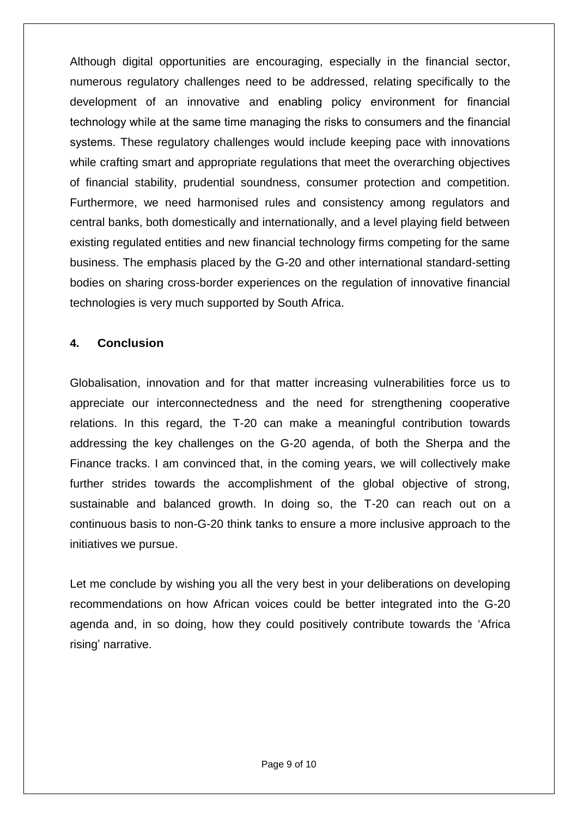Although digital opportunities are encouraging, especially in the financial sector, numerous regulatory challenges need to be addressed, relating specifically to the development of an innovative and enabling policy environment for financial technology while at the same time managing the risks to consumers and the financial systems. These regulatory challenges would include keeping pace with innovations while crafting smart and appropriate regulations that meet the overarching objectives of financial stability, prudential soundness, consumer protection and competition. Furthermore, we need harmonised rules and consistency among regulators and central banks, both domestically and internationally, and a level playing field between existing regulated entities and new financial technology firms competing for the same business. The emphasis placed by the G-20 and other international standard-setting bodies on sharing cross-border experiences on the regulation of innovative financial technologies is very much supported by South Africa.

### **4. Conclusion**

Globalisation, innovation and for that matter increasing vulnerabilities force us to appreciate our interconnectedness and the need for strengthening cooperative relations. In this regard, the T-20 can make a meaningful contribution towards addressing the key challenges on the G-20 agenda, of both the Sherpa and the Finance tracks. I am convinced that, in the coming years, we will collectively make further strides towards the accomplishment of the global objective of strong, sustainable and balanced growth. In doing so, the T-20 can reach out on a continuous basis to non-G-20 think tanks to ensure a more inclusive approach to the initiatives we pursue.

Let me conclude by wishing you all the very best in your deliberations on developing recommendations on how African voices could be better integrated into the G-20 agenda and, in so doing, how they could positively contribute towards the 'Africa rising' narrative.